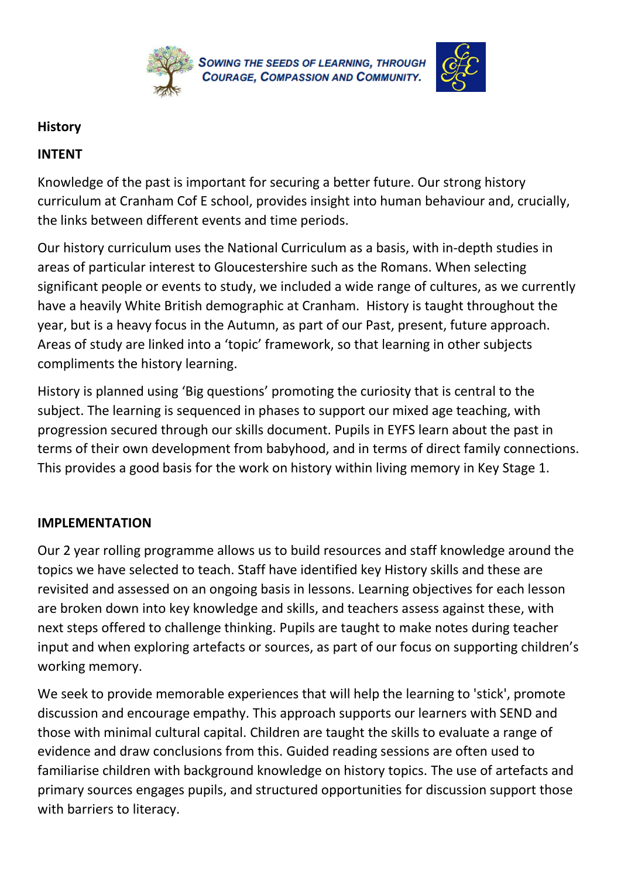

## **History**

## **INTENT**

Knowledge of the past is important for securing a better future. Our strong history curriculum at Cranham Cof E school, provides insight into human behaviour and, crucially, the links between different events and time periods.

Our history curriculum uses the National Curriculum as a basis, with in-depth studies in areas of particular interest to Gloucestershire such as the Romans. When selecting significant people or events to study, we included a wide range of cultures, as we currently have a heavily White British demographic at Cranham. History is taught throughout the year, but is a heavy focus in the Autumn, as part of our Past, present, future approach. Areas of study are linked into a 'topic' framework, so that learning in other subjects compliments the history learning.

History is planned using 'Big questions' promoting the curiosity that is central to the subject. The learning is sequenced in phases to support our mixed age teaching, with progression secured through our skills document. Pupils in EYFS learn about the past in terms of their own development from babyhood, and in terms of direct family connections. This provides a good basis for the work on history within living memory in Key Stage 1.

## **IMPLEMENTATION**

Our 2 year rolling programme allows us to build resources and staff knowledge around the topics we have selected to teach. Staff have identified key History skills and these are revisited and assessed on an ongoing basis in lessons. Learning objectives for each lesson are broken down into key knowledge and skills, and teachers assess against these, with next steps offered to challenge thinking. Pupils are taught to make notes during teacher input and when exploring artefacts or sources, as part of our focus on supporting children's working memory.

We seek to provide memorable experiences that will help the learning to 'stick', promote discussion and encourage empathy. This approach supports our learners with SEND and those with minimal cultural capital. Children are taught the skills to evaluate a range of evidence and draw conclusions from this. Guided reading sessions are often used to familiarise children with background knowledge on history topics. The use of artefacts and primary sources engages pupils, and structured opportunities for discussion support those with barriers to literacy.